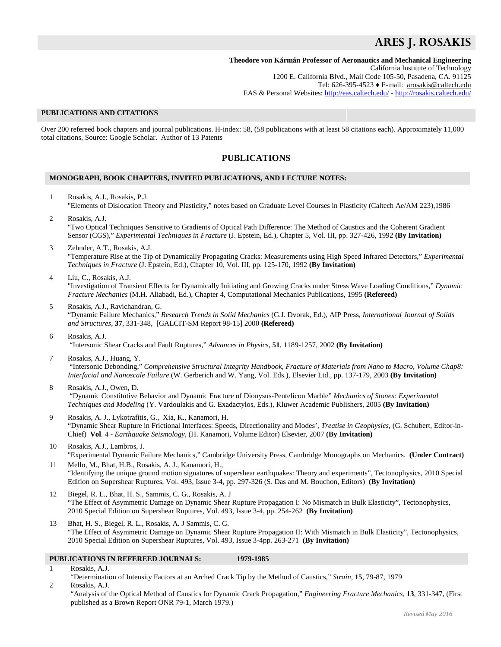# **ARES J. ROSAKIS**

## **Theodore von Kármán Professor of Aeronautics and Mechanical Engineering** California Institute of Technology 1200 E. California Blvd., Mail Code 105-50, Pasadena, CA. 91125 Tel: 626-395-4523 ♦ E-mail: [arosakis@caltech.edu](mailto:rosakis@caltech.edu) EAS & Personal Websites:<http://eas.caltech.edu/> - <http://rosakis.caltech.edu/>

## **PUBLICATIONS AND CITATIONS**

Over 200 refereed book chapters and journal publications. H-index: 58, (58 publications with at least 58 citations each). Approximately 11,000 total citations, Source: Google Scholar. Author of 13 Patents

## **PUBLICATIONS**

### **MONOGRAPH, BOOK CHAPTERS, INVITED PUBLICATIONS, AND LECTURE NOTES:**

- 1 Rosakis, A.J., Rosakis, P.J. "Elements of Dislocation Theory and Plasticity," notes based on Graduate Level Courses in Plasticity (Caltech Ae/AM 223),1986
- 2 Rosakis, A.J. "Two Optical Techniques Sensitive to Gradients of Optical Path Difference: The Method of Caustics and the Coherent Gradient Sensor (CGS)," *Experimental Techniques in Fracture* (J. Epstein, Ed.), Chapter 5, Vol. III, pp. 327-426, 1992 **(By Invitation)**
- 3 Zehnder, A.T., Rosakis, A.J. "Temperature Rise at the Tip of Dynamically Propagating Cracks: Measurements using High Speed Infrared Detectors," *Experimental Techniques in Fracture* (J. Epstein, Ed.), Chapter 10, Vol. III, pp. 125-170, 1992 **(By Invitation)**
- 4 Liu, C., Rosakis, A.J. "Investigation of Transient Effects for Dynamically Initiating and Growing Cracks under Stress Wave Loading Conditions," *Dynamic Fracture Mechanics* (M.H. Aliabadi, Ed.), Chapter 4, Computational Mechanics Publications, 1995 **(Refereed)**
- 5 Rosakis, A.J., Ravichandran, G. "Dynamic Failure Mechanics," *Research Trends in Solid Mechanics* (G.J. Dvorak, Ed.), AIP Press, *International Journal of Solids and Structures,* **37**, 331-348, [GALCIT-SM Report 98-15] 2000 **(Refereed)**
- 6 Rosakis, A.J. "Intersonic Shear Cracks and Fault Ruptures," *Advances in Physics,* **51**, 1189-1257, 2002 **(By Invitation)**
- 7 Rosakis, A.J., Huang, Y. "Intersonic Debonding," *Comprehensive Structural Integrity Handbook, Fracture of Materials from Nano to Macro, Volume Chap8: Interfacial and Nanoscale Failure* (W. Gerberich and W. Yang, Vol. Eds.), Elsevier Ltd., pp. 137-179, 2003 **(By Invitation)**
- 8 Rosakis, A.J., Owen, D. "Dynamic Constitutive Behavior and Dynamic Fracture of Dionysus-Pentelicon Marble" *Mechanics of Stones: Experimental Techniques and Modeling* (Y. Vardoulakis and G. Exadactylos, Eds.), Kluwer Academic Publishers, 2005 **(By Invitation)**
- 9 Rosakis, A. J., Lykotrafitis, G., Xia, K., Kanamori, H. "Dynamic Shear Rupture in Frictional Interfaces: Speeds, Directionality and Modes', *Treatise in Geophysics,* (G. Schubert, Editor-in-Chief) **Vol***.* 4 - *Earthquake Seismology,* (H. Kanamori, Volume Editor) Elsevier, 2007 **(By Invitation)**
- 10 Rosakis, A.J., Lambros, J. "Experimental Dynamic Failure Mechanics," Cambridge University Press, Cambridge Monographs on Mechanics. **(Under Contract)**
- 11 Mello, M., Bhat, H.B., Rosakis, A. J., Kanamori, H., "Identifying the unique ground motion signatures of supershear earthquakes: Theory and experiments", Tectonophysics, 2010 Special Edition on Supershear Ruptures, Vol. 493, Issue 3-4, pp. 297-326 (S. Das and M. Bouchon, Editors) **(By Invitation)**
- 12 Biegel, R. L., Bhat, H. S., Sammis, C. G., Rosakis, A. J "The Effect of Asymmetric Damage on Dynamic Shear Rupture Propagation I: No Mismatch in Bulk Elasticity", Tectonophysics, 2010 Special Edition on Supershear Ruptures, Vol. 493, Issue 3-4, pp. 254-262 **(By Invitation)**
- 13 Bhat, H. S., Biegel, R. L., Rosakis, A. J Sammis, C. G. "The Effect of Asymmetric Damage on Dynamic Shear Rupture Propagation II: With Mismatch in Bulk Elasticity", Tectonophysics, 2010 Special Edition on Supershear Ruptures, Vol. 493, Issue 3-4pp. 263-271 **(By Invitation)**

## **PUBLICATIONS IN REFEREED JOURNALS: 1979-1985**

1 Rosakis, A.J.

"Determination of Intensity Factors at an Arched Crack Tip by the Method of Caustics," *Strain,* **15**, 79-87, 1979

2 Rosakis, A.J. "Analysis of the Optical Method of Caustics for Dynamic Crack Propagation," *Engineering Fracture Mechanics,* **13**, 331-347, (First published as a Brown Report ONR 79-1, March 1979.)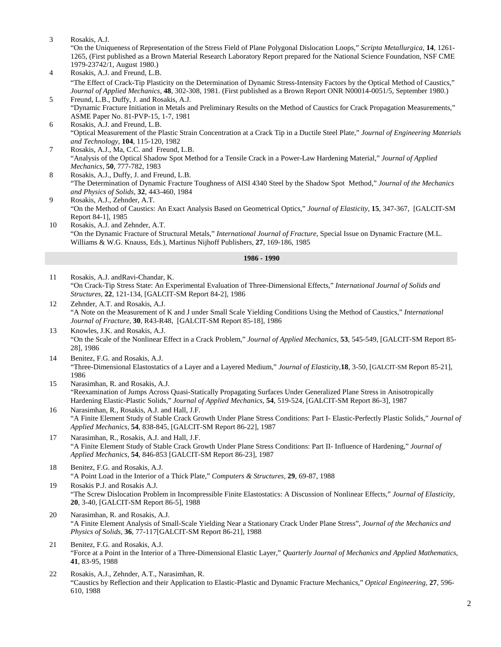3 Rosakis, A.J.

"On the Uniqueness of Representation of the Stress Field of Plane Polygonal Dislocation Loops," *Scripta Metallurgica,* **14**, 1261- 1265, (First published as a Brown Material Research Laboratory Report prepared for the National Science Foundation, NSF CME 1979-23742/1, August 1980.)

- 4 Rosakis, A.J. and Freund, L.B. "The Effect of Crack-Tip Plasticity on the Determination of Dynamic Stress-Intensity Factors by the Optical Method of Caustics," *Journal of Applied Mechanics,* **48**, 302-308, 1981. (First published as a Brown Report ONR N00014-0051/5, September 1980.)
- 5 Freund, L.B., Duffy, J. and Rosakis, A.J. "Dynamic Fracture Initiation in Metals and Preliminary Results on the Method of Caustics for Crack Propagation Measurements," ASME Paper No. 81-PVP-15, 1-7, 1981
- 6 Rosakis, A.J. and Freund, L.B. "Optical Measurement of the Plastic Strain Concentration at a Crack Tip in a Ductile Steel Plate," *Journal of Engineering Materials and Technology,* **104**, 115-120, 1982
- 7 Rosakis, A.J., Ma, C.C. and Freund, L.B. "Analysis of the Optical Shadow Spot Method for a Tensile Crack in a Power-Law Hardening Material," *Journal of Applied Mechanics,* **50**, 777-782, 1983
- 8 Rosakis, A.J., Duffy, J. and Freund, L.B. "The Determination of Dynamic Fracture Toughness of AISI 4340 Steel by the Shadow Spot Method," *Journal of the Mechanics and Physics of Solids,* **32**, 443-460, 1984
- 9 Rosakis, A.J., Zehnder, A.T. "On the Method of Caustics: An Exact Analysis Based on Geometrical Optics," *Journal of Elasticity,* **15**, 347-367, [GALCIT-SM Report 84-1], 1985
- 10 Rosakis, A.J. and Zehnder, A.T. "On the Dynamic Fracture of Structural Metals," *International Journal of Fracture,* Special Issue on Dynamic Fracture (M.L. Williams & W.G. Knauss, Eds.), Martinus Nijhoff Publishers, **27**, 169-186, 1985

- 11 Rosakis, A.J. andRavi-Chandar, K. "On Crack-Tip Stress State: An Experimental Evaluation of Three-Dimensional Effects," *International Journal of Solids and Structures,* **22**, 121-134, [GALCIT-SM Report 84-2], 1986
- 12 Zehnder, A.T. and Rosakis, A.J. "A Note on the Measurement of K and J under Small Scale Yielding Conditions Using the Method of Caustics," *International Journal of Fracture,* **30**, R43-R48, [GALCIT-SM Report 85-18], 1986
- 13 Knowles, J.K. and Rosakis, A.J. "On the Scale of the Nonlinear Effect in a Crack Problem," *Journal of Applied Mechanics,* **53**, 545-549, [GALCIT-SM Report 85- 28], 1986
- 14 Benitez, F.G. and Rosakis, A.J. "Three-Dimensional Elastostatics of a Layer and a Layered Medium," *Journal of Elasticity,***18**, 3-50, [GALCIT-SM Report 85-21], 1986
- 15 Narasimhan, R. and Rosakis, A.J. "Reexamination of Jumps Across Quasi-Statically Propagating Surfaces Under Generalized Plane Stress in Anisotropically Hardening Elastic-Plastic Solids," *Journal of Applied Mechanics,* **54**, 519-524, [GALCIT-SM Report 86-3], 1987
- 16 Narasimhan, R., Rosakis, A.J. and Hall, J.F. "A Finite Element Study of Stable Crack Growth Under Plane Stress Conditions: Part I- Elastic-Perfectly Plastic Solids," *Journal of Applied Mechanics*, **54**, 838-845, [GALCIT-SM Report 86-22], 1987
- 17 Narasimhan, R., Rosakis, A.J. and Hall, J.F. "A Finite Element Study of Stable Crack Growth Under Plane Stress Conditions: Part II- Influence of Hardening," *Journal of Applied Mechanics,* **54**, 846-853 [GALCIT-SM Report 86-23], 1987
- 18 Benitez, F.G. and Rosakis, A.J. "A Point Load in the Interior of a Thick Plate," *Computers & Structures,* **29**, 69-87, 1988
- 19 Rosakis P.J. and Rosakis A.J. "The Screw Dislocation Problem in Incompressible Finite Elastostatics: A Discussion of Nonlinear Effects," *Journal of Elasticity,*  **20**, 3-40, [GALCIT-SM Report 86-5], 1988
- 20 Narasimhan, R. and Rosakis, A.J. "A Finite Element Analysis of Small-Scale Yielding Near a Stationary Crack Under Plane Stress", *Journal of the Mechanics and Physics of Solids,* **36**, 77-117[GALCIT-SM Report 86-21], 1988
- 21 Benitez, F.G. and Rosakis, A.J. "Force at a Point in the Interior of a Three-Dimensional Elastic Layer," *Quarterly Journal of Mechanics and Applied Mathematics,*  **41**, 83-95, 1988
- 22 Rosakis, A.J., Zehnder, A.T., Narasimhan, R. "Caustics by Reflection and their Application to Elastic-Plastic and Dynamic Fracture Mechanics," *Optical Engineering,* **27**, 596- 610, 1988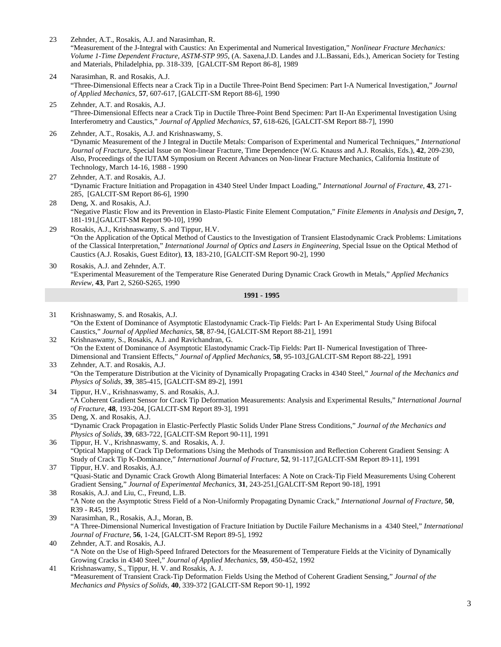23 Zehnder, A.T., Rosakis, A.J. and Narasimhan, R.

"Measurement of the J-Integral with Caustics: An Experimental and Numerical Investigation," *Nonlinear Fracture Mechanics: Volume 1-Time Dependent Fracture, ASTM-STP 995*, (A. Saxena,J.D. Landes and J.L.Bassani, Eds.), American Society for Testing and Materials, Philadelphia, pp. 318-339, [GALCIT-SM Report 86-8], 1989

- 24 Narasimhan, R. and Rosakis, A.J. "Three-Dimensional Effects near a Crack Tip in a Ductile Three-Point Bend Specimen: Part I-A Numerical Investigation," *Journal of Applied Mechanics,* **57**, 607-617, [GALCIT-SM Report 88-6], 1990
- 25 Zehnder, A.T. and Rosakis, A.J. "Three-Dimensional Effects near a Crack Tip in Ductile Three-Point Bend Specimen: Part II-An Experimental Investigation Using Interferometry and Caustics," *Journal of Applied Mechanics,* **57**, 618-626, [GALCIT-SM Report 88-7], 1990
- 26 Zehnder, A.T., Rosakis, A.J. and Krishnaswamy, S. "Dynamic Measurement of the J Integral in Ductile Metals: Comparison of Experimental and Numerical Techniques," *International Journal of Fracture*, Special Issue on Non-linear Fracture, Time Dependence (W.G. Knauss and A.J. Rosakis, Eds.), **42**, 209-230, Also, Proceedings of the IUTAM Symposium on Recent Advances on Non-linear Fracture Mechanics, California Institute of Technology, March 14-16, 1988 - 1990
- 27 Zehnder, A.T. and Rosakis, A.J. "Dynamic Fracture Initiation and Propagation in 4340 Steel Under Impact Loading," *International Journal of Fracture,* **43**, 271- 285, [GALCIT-SM Report 86-6], 1990
- 28 Deng, X. and Rosakis, A.J. "Negative Plastic Flow and its Prevention in Elasto-Plastic Finite Element Computation," *Finite Elements in Analysis and Design***, 7**, 181-191,[GALCIT-SM Report 90-10], 1990
- 29 Rosakis, A.J., Krishnaswamy, S. and Tippur, H.V. "On the Application of the Optical Method of Caustics to the Investigation of Transient Elastodynamic Crack Problems: Limitations of the Classical Interpretation," *International Journal of Optics and Lasers in Engineering*, Special Issue on the Optical Method of Caustics (A.J. Rosakis, Guest Editor), **13**, 183-210, [GALCIT-SM Report 90-2], 1990
- 30 Rosakis, A.J. and Zehnder, A.T. "Experimental Measurement of the Temperature Rise Generated During Dynamic Crack Growth in Metals," *Applied Mechanics Review,* **43**, Part 2, S260-S265, 1990

- 31 Krishnaswamy, S. and Rosakis, A.J. "On the Extent of Dominance of Asymptotic Elastodynamic Crack-Tip Fields: Part I- An Experimental Study Using Bifocal Caustics," *Journal of Applied Mechanics*, **58**, 87-94, [GALCIT-SM Report 88-21], 1991
- 32 Krishnaswamy, S., Rosakis, A.J. and Ravichandran, G. "On the Extent of Dominance of Asymptotic Elastodynamic Crack-Tip Fields: Part II- Numerical Investigation of Three-Dimensional and Transient Effects," *Journal of Applied Mechanics,* **58**, 95-103,[GALCIT-SM Report 88-22], 1991 33 Zehnder, A.T. and Rosakis, A.J.
- "On the Temperature Distribution at the Vicinity of Dynamically Propagating Cracks in 4340 Steel," *Journal of the Mechanics and Physics of Solids,* **39**, 385-415, [GALCIT-SM 89-2], 1991
- 34 Tippur, H.V., Krishnaswamy, S. and Rosakis, A.J. "A Coherent Gradient Sensor for Crack Tip Deformation Measurements: Analysis and Experimental Results," *International Journal of Fracture*, **48**, 193-204, [GALCIT-SM Report 89-3], 1991
- 35 Deng, X. and Rosakis, A.J. "Dynamic Crack Propagation in Elastic-Perfectly Plastic Solids Under Plane Stress Conditions," *Journal of the Mechanics and Physics of Solids*, **39**, 683-722, [GALCIT-SM Report 90-11], 1991
- 36 Tippur, H. V., Krishnaswamy, S. and Rosakis, A. J. "Optical Mapping of Crack Tip Deformations Using the Methods of Transmission and Reflection Coherent Gradient Sensing: A Study of Crack Tip K-Dominance," *International Journal of Fracture,* **52**, 91-117,[GALCIT-SM Report 89-11], 1991
- 37 Tippur, H.V. and Rosakis, A.J. "Quasi-Static and Dynamic Crack Growth Along Bimaterial Interfaces: A Note on Crack-Tip Field Measurements Using Coherent Gradient Sensing," *Journal of Experimental Mechanics*, **31**, 243-251,[GALCIT-SM Report 90-18], 1991
- 38 Rosakis, A.J. and Liu, C., Freund, L.B. "A Note on the Asymptotic Stress Field of a Non-Uniformly Propagating Dynamic Crack," *International Journal of Fracture*, **50**, R39 - R45, 1991
- 39 Narasimhan, R., Rosakis, A.J., Moran, B. "A Three-Dimensional Numerical Investigation of Fracture Initiation by Ductile Failure Mechanisms in a 4340 Steel," *International Journal of Fracture*, **56**, 1-24, [GALCIT-SM Report 89-5], 1992
- 40 Zehnder, A.T. and Rosakis, A.J. "A Note on the Use of High-Speed Infrared Detectors for the Measurement of Temperature Fields at the Vicinity of Dynamically Growing Cracks in 4340 Steel," *Journal of Applied Mechanics,* **59**, 450-452, 1992
- 41 Krishnaswamy, S., Tippur, H. V. and Rosakis, A. J. "Measurement of Transient Crack-Tip Deformation Fields Using the Method of Coherent Gradient Sensing," *Journal of the Mechanics and Physics of Solids,* **40**, 339-372 [GALCIT-SM Report 90-1], 1992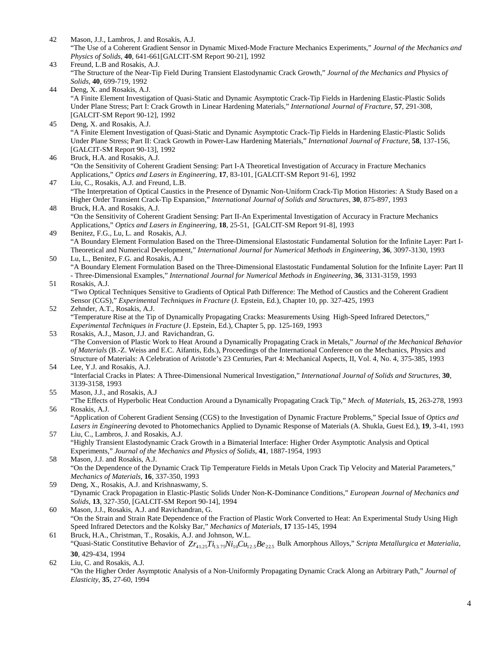- 42 Mason, J.J., Lambros, J. and Rosakis, A.J. "The Use of a Coherent Gradient Sensor in Dynamic Mixed-Mode Fracture Mechanics Experiments," *Journal of the Mechanics and Physics of Solids*, **40**, 641-661[GALCIT-SM Report 90-21], 1992
- 43 Freund, L.B and Rosakis, A.J. "The Structure of the Near-Tip Field During Transient Elastodynamic Crack Growth," *Journal of the Mechanics and* Physics *of Solids*, **40**, 699-719, 1992
- 44 Deng, X. and Rosakis, A.J. "A Finite Element Investigation of Quasi-Static and Dynamic Asymptotic Crack-Tip Fields in Hardening Elastic-Plastic Solids Under Plane Stress; Part I: Crack Growth in Linear Hardening Materials," *International Journal of Fracture*, **57**, 291-308, [GALCIT-SM Report 90-12], 1992
- 45 Deng, X. and Rosakis, A.J. "A Finite Element Investigation of Quasi-Static and Dynamic Asymptotic Crack-Tip Fields in Hardening Elastic-Plastic Solids Under Plane Stress; Part II: Crack Growth in Power-Law Hardening Materials," *International Journal of Fracture,* **58**, 137-156, [GALCIT-SM Report 90-13], 1992
- 46 Bruck, H.A. and Rosakis, A.J. "On the Sensitivity of Coherent Gradient Sensing: Part I-A Theoretical Investigation of Accuracy in Fracture Mechanics Applications," *Optics and Lasers in Engineering*, **17**, 83-101, [GALCIT-SM Report 91-6], 1992
- 47 Liu, C., Rosakis, A.J. and Freund, L.B. "The Interpretation of Optical Caustics in the Presence of Dynamic Non-Uniform Crack-Tip Motion Histories: A Study Based on a Higher Order Transient Crack-Tip Expansion," *International Journal of Solids and Structures*, **30**, 875-897, 1993
- 48 Bruck, H.A. and Rosakis, A.J. "On the Sensitivity of Coherent Gradient Sensing: Part II-An Experimental Investigation of Accuracy in Fracture Mechanics Applications," *Optics and Lasers in Engineering*, **18**, 25-51, [GALCIT-SM Report 91-8], 1993
- 49 Benitez, F.G., Lu, L. and Rosakis, A.J. "A Boundary Element Formulation Based on the Three-Dimensional Elastostatic Fundamental Solution for the Infinite Layer: Part I-Theoretical and Numerical Development," *International Journal for Numerical Methods in Engineering*, **36**, 3097-3130, 1993
- 50 Lu, L., Benitez, F.G. and Rosakis, A.J "A Boundary Element Formulation Based on the Three-Dimensional Elastostatic Fundamental Solution for the Infinite Layer: Part II - Three-Dimensional Examples," *International Journal for Numerical Methods in Engineering*, **36**, 3131-3159, 1993

## 51 Rosakis, A.J. "Two Optical Techniques Sensitive to Gradients of Optical Path Difference: The Method of Caustics and the Coherent Gradient Sensor (CGS)," *Experimental Techniques in Fracture* (J. Epstein, Ed.), Chapter 10, pp. 327-425, 1993

- 52 Zehnder, A.T., Rosakis, A.J. "Temperature Rise at the Tip of Dynamically Propagating Cracks: Measurements Using High-Speed Infrared Detectors," *Experimental Techniques in Fracture* (J. Epstein, Ed.), Chapter 5, pp. 125-169, 1993
- 53 Rosakis, A.J., Mason, J.J. and Ravichandran, G. "The Conversion of Plastic Work to Heat Around a Dynamically Propagating Crack in Metals," *Journal of the Mechanical Behavior of Materials* (B.-Z. Weiss and E.C. Aifantis, Eds.), Proceedings of the International Conference on the Mechanics, Physics and Structure of Materials: A Celebration of Aristotle's 23 Centuries, Part 4: Mechanical Aspects, II, Vol. 4, No. 4, 375-385, 1993

## 54 Lee, Y.J. and Rosakis, A.J. "Interfacial Cracks in Plates: A Three-Dimensional Numerical Investigation," *International Journal of Solids and Structures,* **30**, 3139-3158, 1993

- 55 Mason, J.J., and Rosakis, A.J "The Effects of Hyperbolic Heat Conduction Around a Dynamically Propagating Crack Tip," *Mech. of Materials,* **15**, 263-278, 1993
- 56 Rosakis, A.J. "Application of Coherent Gradient Sensing (CGS) to the Investigation of Dynamic Fracture Problems," Special Issue of *Optics and Lasers in Engineering* devoted to Photomechanics Applied to Dynamic Response of Materials (A. Shukla, Guest Ed.), **19**, 3-41, 1993
- 57 Liu, C., Lambros, J. and Rosakis, A.J. "Highly Transient Elastodynamic Crack Growth in a Bimaterial Interface: Higher Order Asymptotic Analysis and Optical Experiments," *Journal of the Mechanics and Physics of Solids*, **41**, 1887-1954, 1993
- 58 Mason, J.J. and Rosakis, A.J. "On the Dependence of the Dynamic Crack Tip Temperature Fields in Metals Upon Crack Tip Velocity and Material Parameters," *Mechanics of Materials*, **16**, 337-350, 1993
- 59 Deng, X., Rosakis, A.J. and Krishnaswamy, S. "Dynamic Crack Propagation in Elastic-Plastic Solids Under Non-K-Dominance Conditions," *European Journal of Mechanics and Solids*, **13**, 327-350, [GALCIT-SM Report 90-14], 1994
- 60 Mason, J.J., Rosakis, A.J. and Ravichandran, G. "On the Strain and Strain Rate Dependence of the Fraction of Plastic Work Converted to Heat: An Experimental Study Using High Speed Infrared Detectors and the Kolsky Bar," *Mechanics of Materials*, **17** 135-145, 1994
- 61 Bruck, H.A., Christman, T., Rosakis, A.J. and Johnson, W.L. "Quasi-Static Constitutive Behavior of  $Zr_{412}Zr_{137}Ni_{10}Cu_{12}Be_{225}$  Bulk Amorphous Alloys," *Scripta Metallurgica et Materialia*, **30**, 429-434, 1994
- 62 Liu, C. and Rosakis, A.J. "On the Higher Order Asymptotic Analysis of a Non-Uniformly Propagating Dynamic Crack Along an Arbitrary Path," *Journal of Elasticity*, **35**, 27-60, 1994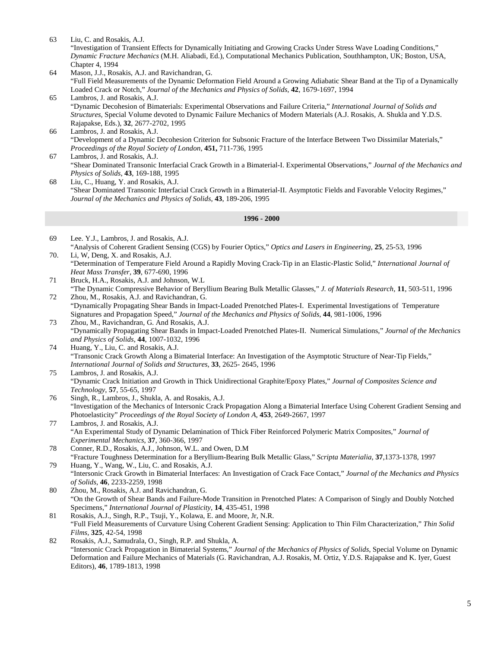63 Liu, C. and Rosakis, A.J. "Investigation of Transient Effects for Dynamically Initiating and Growing Cracks Under Stress Wave Loading Conditions," *Dynamic Fracture Mechanics* (M.H. Aliabadi, Ed.), Computational Mechanics Publication, Southhampton, UK; Boston, USA, Chapter 4, 1994

- 64 Mason, J.J., Rosakis, A.J. and Ravichandran, G. "Full Field Measurements of the Dynamic Deformation Field Around a Growing Adiabatic Shear Band at the Tip of a Dynamically Loaded Crack or Notch," *Journal of the Mechanics and Physics of Solids*, **42**, 1679-1697, 1994
- 65 Lambros, J. and Rosakis, A.J. "Dynamic Decohesion of Bimaterials: Experimental Observations and Failure Criteria," *International Journal of Solids and Structures*, Special Volume devoted to Dynamic Failure Mechanics of Modern Materials (A.J. Rosakis, A. Shukla and Y.D.S. Rajapakse, Eds.), **32**, 2677-2702, 1995
- 66 Lambros, J. and Rosakis, A.J. "Development of a Dynamic Decohesion Criterion for Subsonic Fracture of the Interface Between Two Dissimilar Materials," *Proceedings of the Royal Society of London*, **451,** 711-736, 1995
- 67 Lambros, J. and Rosakis, A.J. "Shear Dominated Transonic Interfacial Crack Growth in a Bimaterial-I. Experimental Observations," *Journal of the Mechanics and Physics of Solids*, **43**, 169-188, 1995
- 68 Liu, C., Huang, Y. and Rosakis, A.J. "Shear Dominated Transonic Interfacial Crack Growth in a Bimaterial-II. Asymptotic Fields and Favorable Velocity Regimes," *Journal of the Mechanics and Physics of Solids*, **43**, 189-206, 1995

- 69 Lee. Y.J., Lambros, J. and Rosakis, A.J. "Analysis of Coherent Gradient Sensing (CGS) by Fourier Optics," *Optics and Lasers in Engineering,* **25**, 25-53, 1996
- 70. Li, W, Deng, X. and Rosakis, A.J. "Determination of Temperature Field Around a Rapidly Moving Crack-Tip in an Elastic-Plastic Solid," *International Journal of Heat Mass Transfer*, **39**, 677-690, 1996
- 71 Bruck, H.A., Rosakis, A.J. and Johnson, W.L "The Dynamic Compressive Behavior of Beryllium Bearing Bulk Metallic Glasses," *J. of Materials Research*, **11**, 503-511, 1996
- 72 Zhou, M., Rosakis, A.J. and Ravichandran, G. "Dynamically Propagating Shear Bands in Impact-Loaded Prenotched Plates-I. Experimental Investigations of Temperature Signatures and Propagation Speed," *Journal of the Mechanics and Physics of Solids*, **44**, 981-1006, 1996
- 73 Zhou, M., Ravichandran, G. And Rosakis, A.J. "Dynamically Propagating Shear Bands in Impact-Loaded Prenotched Plates-II. Numerical Simulations," *Journal of the Mechanics and Physics of Solids*, **44**, 1007-1032, 1996
- 74 Huang, Y., Liu, C. and Rosakis, A.J. "Transonic Crack Growth Along a Bimaterial Interface: An Investigation of the Asymptotic Structure of Near-Tip Fields," *International Journal of Solids and Structures*, **33**, 2625- 2645, 1996
- 75 Lambros, J. and Rosakis, A.J. "Dynamic Crack Initiation and Growth in Thick Unidirectional Graphite/Epoxy Plates," *Journal of Composites Science and Technology*, **57**, 55-65, 1997
- 76 Singh, R., Lambros, J., Shukla, A. and Rosakis, A.J. "Investigation of the Mechanics of Intersonic Crack Propagation Along a Bimaterial Interface Using Coherent Gradient Sensing and Photoelasticity" *Proceedings of the Royal Society of London A*, **453**, 2649-2667, 1997
- 77 Lambros, J. and Rosakis, A.J. "An Experimental Study of Dynamic Delamination of Thick Fiber Reinforced Polymeric Matrix Composites," *Journal of Experimental Mechanics*, **37**, 360-366, 1997
- 78 Conner, R.D., Rosakis, A.J., Johnson, W.L. and Owen, D.M "Fracture Toughness Determination for a Beryllium-Bearing Bulk Metallic Glass," *Scripta Materialia*, **37**,1373-1378, 1997
- 79 Huang, Y., Wang, W., Liu, C. and Rosakis, A.J. "Intersonic Crack Growth in Bimaterial Interfaces: An Investigation of Crack Face Contact," *Journal of the Mechanics and Physics of Solids*, **46**, 2233-2259, 1998
- 80 Zhou, M., Rosakis, A.J. and Ravichandran, G. "On the Growth of Shear Bands and Failure-Mode Transition in Prenotched Plates: A Comparison of Singly and Doubly Notched Specimens," *International Journal of Plasticity*, **14**, 435-451, 1998
- 81 Rosakis, A.J., Singh, R.P., Tsuji, Y., Kolawa, E. and Moore, Jr, N.R. "Full Field Measurements of Curvature Using Coherent Gradient Sensing: Application to Thin Film Characterization," *Thin Solid Films*, **325**, 42-54, 1998
- 82 Rosakis, A.J., Samudrala, O., Singh, R.P. and Shukla, A. "Intersonic Crack Propagation in Bimaterial Systems," *Journal of the Mechanics of Physics of Solids*, Special Volume on Dynamic Deformation and Failure Mechanics of Materials (G. Ravichandran, A.J. Rosakis, M. Ortiz, Y.D.S. Rajapakse and K. Iyer, Guest Editors), **46**, 1789-1813, 1998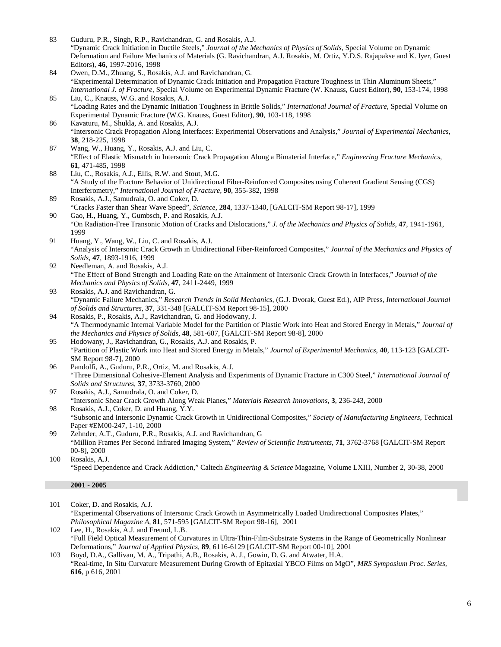- 83 Guduru, P.R., Singh, R.P., Ravichandran, G. and Rosakis, A.J. "Dynamic Crack Initiation in Ductile Steels," *Journal of the Mechanics of Physics of Solids*, Special Volume on Dynamic Deformation and Failure Mechanics of Materials (G. Ravichandran, A.J. Rosakis, M. Ortiz, Y.D.S. Rajapakse and K. Iyer, Guest Editors), **46**, 1997-2016, 1998
- 84 Owen, D.M., Zhuang, S., Rosakis, A.J. and Ravichandran, G. "Experimental Determination of Dynamic Crack Initiation and Propagation Fracture Toughness in Thin Aluminum Sheets," *International J. of Fracture*, Special Volume on Experimental Dynamic Fracture (W. Knauss, Guest Editor), **90**, 153-174, 1998
- 85 Liu, C., Knauss, W.G. and Rosakis, A.J. "Loading Rates and the Dynamic Initiation Toughness in Brittle Solids," *International Journal of Fracture*, Special Volume on Experimental Dynamic Fracture (W.G. Knauss, Guest Editor), **90**, 103-118, 1998
- 86 Kavaturu, M., Shukla, A. and Rosakis, A.J. "Intersonic Crack Propagation Along Interfaces: Experimental Observations and Analysis," *Journal of Experimental Mechanics*, **38**, 218-225, 1998
- 87 Wang, W., Huang, Y., Rosakis, A.J. and Liu, C. "Effect of Elastic Mismatch in Intersonic Crack Propagation Along a Bimaterial Interface," *Engineering Fracture Mechanics*, **61**, 471-485, 1998
- 88 Liu, C., Rosakis, A.J., Ellis, R.W. and Stout, M.G. "A Study of the Fracture Behavior of Unidirectional Fiber-Reinforced Composites using Coherent Gradient Sensing (CGS) Interferometry," *International Journal of Fracture,* **90**, 355-382, 1998
- 89 Rosakis, A.J., Samudrala, O. and Coker, D. "Cracks Faster than Shear Wave Speed", *Science*, **284**, 1337-1340, [GALCIT-SM Report 98-17], 1999
- 90 Gao, H., Huang, Y., Gumbsch, P. and Rosakis, A.J. "On Radiation-Free Transonic Motion of Cracks and Dislocations," *J. of the Mechanics and Physics of Solids*, **47**, 1941-1961, 1999
- 91 Huang, Y., Wang, W., Liu, C. and Rosakis, A.J. "Analysis of Intersonic Crack Growth in Unidirectional Fiber-Reinforced Composites," *Journal of the Mechanics and Physics of Solids*, **47**, 1893-1916, 1999
- 92 Needleman, A. and Rosakis, A.J. "The Effect of Bond Strength and Loading Rate on the Attainment of Intersonic Crack Growth in Interfaces," *Journal of the Mechanics and Physics of Solids*, **47**, 2411-2449, 1999
- 93 Rosakis, A.J. and Ravichandran, G. "Dynamic Failure Mechanics," *Research Trends in Solid Mechanics*, (G.J. Dvorak, Guest Ed.), AIP Press, *International Journal of Solids and Structures,* **37**, 331-348 [GALCIT-SM Report 98-15], 2000
- 94 Rosakis, P., Rosakis, A.J., Ravichandran, G. and Hodowany, J. "A Thermodynamic Internal Variable Model for the Partition of Plastic Work into Heat and Stored Energy in Metals," *Journal of the Mechanics and Physics of Solids*, **48**, 581-607, [GALCIT-SM Report 98-8], 2000
- 95 Hodowany, J., Ravichandran, G., Rosakis, A.J. and Rosakis, P. "Partition of Plastic Work into Heat and Stored Energy in Metals," *Journal of Experimental Mechanics*, **40**, 113-123 [GALCIT-SM Report 98-7], 2000
- 96 Pandolfi, A., Guduru, P.R., Ortiz, M. and Rosakis, A.J. "Three Dimensional Cohesive-Element Analysis and Experiments of Dynamic Fracture in C300 Steel," *International Journal of Solids and Structures*, **37**, 3733-3760, 2000
- 97 Rosakis, A.J., Samudrala, O. and Coker, D. "Intersonic Shear Crack Growth Along Weak Planes," *Materials Research Innovations,* **3**, 236-243, 2000
- 98 Rosakis, A.J., Coker, D. and Huang, Y.Y. "Subsonic and Intersonic Dynamic Crack Growth in Unidirectional Composites," *Society of Manufacturing Engineers,* Technical Paper #EM00-247, 1-10, 2000
- 99 Zehnder, A.T., Guduru, P.R., Rosakis, A.J. and Ravichandran, G "Million Frames Per Second Infrared Imaging System," *Review of Scientific Instruments,* **71**, 3762-3768 [GALCIT-SM Report 00-8], 2000
- 100 Rosakis, A.J. "Speed Dependence and Crack Addiction," Caltech *Engineering & Science* Magazine, Volume LXIII, Number 2, 30-38, 2000

- 101 Coker, D. and Rosakis, A.J. "Experimental Observations of Intersonic Crack Growth in Asymmetrically Loaded Unidirectional Composites Plates," *Philosophical Magazine A,* **81**, 571-595 [GALCIT-SM Report 98-16], 2001
- 102 Lee, H., Rosakis, A.J. and Freund, L.B. "Full Field Optical Measurement of Curvatures in Ultra-Thin-Film-Substrate Systems in the Range of Geometrically Nonlinear Deformations," *Journal of Applied Physics,* **89**, 6116-6129 [GALCIT-SM Report 00-10], 2001
- 103 Boyd, D.A., Gallivan, M. A., Tripathi, A.B., Rosakis, A. J., Gowin, D. G. and Atwater, H.A. "Real-time, In Situ Curvature Measurement During Growth of Epitaxial YBCO Films on MgO", *MRS Symposium Proc. Series,*  **616**, p 616, 2001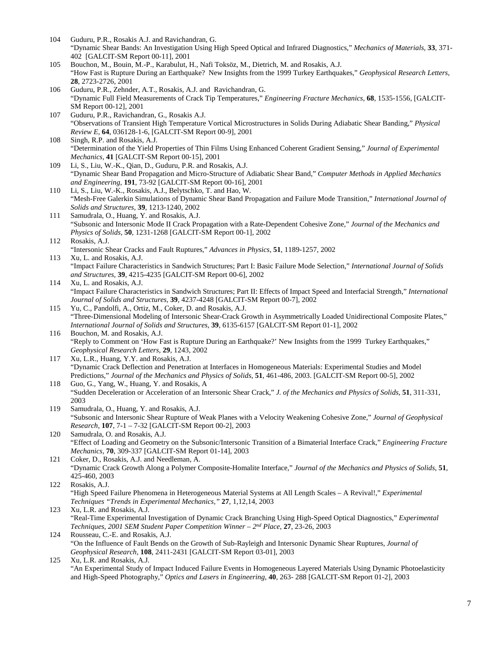- 104 Guduru, P.R., Rosakis A.J. and Ravichandran, G. "Dynamic Shear Bands: An Investigation Using High Speed Optical and Infrared Diagnostics," *Mechanics of Materials,* **33**, 371- 402 [GALCIT-SM Report 00-11], 2001
- 105 Bouchon, M., Bouin, M.-P., Karabulut, H., Nafi Toksöz, M., Dietrich, M. and Rosakis, A.J. "How Fast is Rupture During an Earthquake? New Insights from the 1999 Turkey Earthquakes," *Geophysical Research Letters,* **28**, 2723-2726, 2001
- 106 Guduru, P.R., Zehnder, A.T., Rosakis, A.J. and Ravichandran, G. "Dynamic Full Field Measurements of Crack Tip Temperatures," *Engineering Fracture Mechanics,* **68**, 1535-1556, [GALCIT-SM Report 00-12], 2001
- 107 Guduru, P.R., Ravichandran, G., Rosakis A.J. "Observations of Transient High Temperature Vortical Microstructures in Solids During Adiabatic Shear Banding," *Physical Review E,* **64**, 036128-1-6, [GALCIT-SM Report 00-9], 2001
- 108 Singh, R.P. and Rosakis, A.J. "Determination of the Yield Properties of Thin Films Using Enhanced Coherent Gradient Sensing," *Journal of Experimental Mechanics,* **41** [GALCIT-SM Report 00-15], 2001
- 109 Li, S., Liu, W.-K., Qian, D., Guduru, P.R. and Rosakis, A.J. "Dynamic Shear Band Propagation and Micro-Structure of Adiabatic Shear Band," *Computer Methods in Applied Mechanics and Engineering,* **191**, 73-92 [GALCIT-SM Report 00-16], 2001
- 110 Li, S., Liu, W.-K., Rosakis, A.J., Belytschko, T. and Hao, W. "Mesh-Free Galerkin Simulations of Dynamic Shear Band Propagation and Failure Mode Transition," *International Journal of Solids and Structures,* **39**, 1213-1240, 2002
- 111 Samudrala, O., Huang, Y. and Rosakis, A.J. "Subsonic and Intersonic Mode II Crack Propagation with a Rate-Dependent Cohesive Zone," *Journal of the Mechanics and Physics of Solids,* **50**, 1231-1268 [GALCIT-SM Report 00-1], 2002
- 112 Rosakis, A.J. "Intersonic Shear Cracks and Fault Ruptures," *Advances in Physics,* **51**, 1189-1257, 2002 113 Xu, L. and Rosakis, A.J.
- "Impact Failure Characteristics in Sandwich Structures; Part I: Basic Failure Mode Selection," *International Journal of Solids and Structures,* **39**, 4215-4235 [GALCIT-SM Report 00-6], 2002
- 114 Xu, L. and Rosakis, A.J. "Impact Failure Characteristics in Sandwich Structures; Part II: Effects of Impact Speed and Interfacial Strength," *International Journal of Solids and Structures,* **39**, 4237-4248 [GALCIT-SM Report 00-7], 2002
- 115 Yu, C., Pandolfi, A., Ortiz, M., Coker, D. and Rosakis, A.J. "Three-Dimensional Modeling of Intersonic Shear-Crack Growth in Asymmetrically Loaded Unidirectional Composite Plates," *International Journal of Solids and Structures*, **39**, 6135-6157 [GALCIT-SM Report 01-1], 2002
- 116 Bouchon, M. and Rosakis, A.J. "Reply to Comment on 'How Fast is Rupture During an Earthquake?' New Insights from the 1999 Turkey Earthquakes," *Geophysical Research Letters,* **29**, 1243, 2002
- 117 Xu, L.R., Huang, Y.Y. and Rosakis, A.J. "Dynamic Crack Deflection and Penetration at Interfaces in Homogeneous Materials: Experimental Studies and Model Predictions," *Journal of the Mechanics and Physics of Solids,* **51**, 461-486, 2003. [GALCIT-SM Report 00-5], 2002
- 118 Guo, G., Yang, W., Huang, Y. and Rosakis, A "Sudden Deceleration or Acceleration of an Intersonic Shear Crack," *J. of the Mechanics and Physics of Solids*, **51**, 311-331, 2003
- 119 Samudrala, O., Huang, Y. and Rosakis, A.J. "Subsonic and Intersonic Shear Rupture of Weak Planes with a Velocity Weakening Cohesive Zone," *Journal of Geophysical Research,* **107**, 7-1 – 7-32 [GALCIT-SM Report 00-2], 2003
- 120 Samudrala, O. and Rosakis, A.J. "Effect of Loading and Geometry on the Subsonic/Intersonic Transition of a Bimaterial Interface Crack," *Engineering Fracture Mechanics,* **70**, 309-337 [GALCIT-SM Report 01-14], 2003
- 121 Coker, D., Rosakis, A.J. and Needleman, A. "Dynamic Crack Growth Along a Polymer Composite-Homalite Interface," *Journal of the Mechanics and Physics of Solids*, **51**, 425-460, 2003
- 122 Rosakis, A.J. "High Speed Failure Phenomena in Heterogeneous Material Systems at All Length Scales – A Revival!," *Experimental Techniques "Trends in Experimental Mechanics,"* **27**, 1,12,14, 2003
- 123 Xu, L.R. and Rosakis, A.J. "Real-Time Experimental Investigation of Dynamic Crack Branching Using High-Speed Optical Diagnostics," *Experimental Techniques, 2001 SEM Student Paper Competition Winner – 2nd Place,* **27**, 23-26, 2003
- 124 Rousseau, C.-E. and Rosakis, A.J. "On the Influence of Fault Bends on the Growth of Sub-Rayleigh and Intersonic Dynamic Shear Ruptures, *Journal of Geophysical Research,* **108**, 2411-2431 [GALCIT-SM Report 03-01], 2003
- 125 Xu, L.R. and Rosakis, A.J. "An Experimental Study of Impact Induced Failure Events in Homogeneous Layered Materials Using Dynamic Photoelasticity and High-Speed Photography," *Optics and Lasers in Engineering,* **40**, 263- 288 [GALCIT-SM Report 01-2], 2003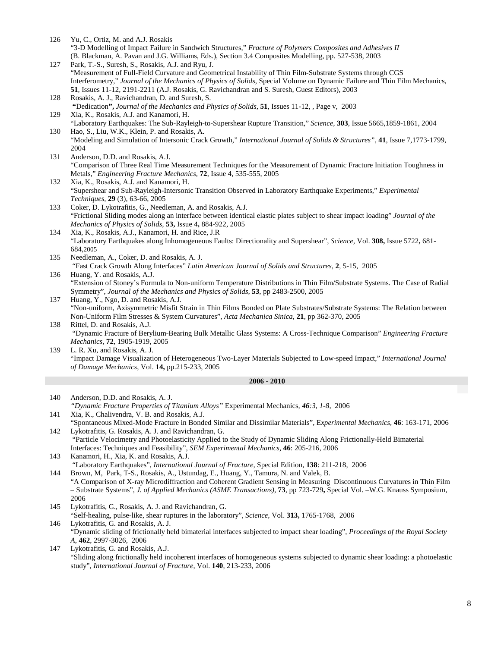- 126 Yu, C., Ortiz, M. and A.J. Rosakis "3-D Modelling of Impact Failure in Sandwich Structures," *Fracture of Polymers Composites and Adhesives II* (B. Blackman, A. Pavan and J.G. Williams, Eds.), Section 3.4 Composites Modelling, pp. 527-538, 2003
- 127 Park, T.-S., Suresh, S., Rosakis, A.J. and Ryu, J. "Measurement of Full-Field Curvature and Geometrical Instability of Thin Film-Substrate Systems through CGS Interferometry," *Journal of the Mechanics of Physics of Solids*, Special Volume on Dynamic Failure and Thin Film Mechanics, **51**, Issues 11-12, 2191-2211 (A.J. Rosakis, G. Ravichandran and S. Suresh, Guest Editors), 2003
- 128 Rosakis, A. J., Ravichandran, D. and Suresh, S.
- **"**Dedication**",** *Journal of the Mechanics and Physics of Solids,* **51**, Issues 11-12, , Page v, 2003 129 Xia, K., Rosakis, A.J. and Kanamori, H.
- "Laboratory Earthquakes: The Sub-Rayleigh-to-Supershear Rupture Transition," *Science,* **303**, Issue 5665,1859-1861, 2004 130 Hao, S., Liu, W.K., Klein, P. and Rosakis, A.
- "Modeling and Simulation of Intersonic Crack Growth," *International Journal of Solids & Structures",* **41**, Issue 7,1773-1799, 2004
- 131 Anderson, D.D. and Rosakis, A.J. "Comparison of Three Real Time Measurement Techniques for the Measurement of Dynamic Fracture Initiation Toughness in Metals," *Engineering Fracture Mechanics,* **72**, Issue 4, 535-555, 2005
- 132 Xia, K., Rosakis, A.J. and Kanamori, H. "Supershear and Sub-Rayleigh-Intersonic Transition Observed in Laboratory Earthquake Experiments," *Experimental Techniques,* **29** (3), 63-66, 2005
- 133 Coker, D. Lykotrafitis, G., Needleman, A. and Rosakis, A.J. "Frictional Sliding modes along an interface between identical elastic plates subject to shear impact loading" *Journal of the Mechanics of Physics of Solids,* **53,** Issue 4**,** 884-922, 2005 134 Xia, K., Rosakis, A.J., Kanamori, H. and Rice, J.R
- "Laboratory Earthquakes along Inhomogeneous Faults: Directionality and Supershear", *Science,* Vol. **308,** Issue 5722**,** 681- 684,2005
- 135 Needleman, A., Coker, D. and Rosakis, A. J. "Fast Crack Growth Along Interfaces" *Latin American Journal of Solids and Structures,* **2**, 5-15, 2005
- 136 Huang, Y. and Rosakis, A.J. "Extension of Stoney's Formula to Non-uniform Temperature Distributions in Thin Film/Substrate Systems. The Case of Radial Symmetry", *Journal of the Mechanics and Physics of Solids,* **53**, pp 2483-2500, 2005
- 137 Huang, Y., Ngo, D. and Rosakis, A.J. "Non-uniform, Axisymmetric Misfit Strain in Thin Films Bonded on Plate Substrates/Substrate Systems: The Relation between Non-Uniform Film Stresses & System Curvatures", *Acta Mechanica Sinica,* **21**, pp 362-370, 2005
- 138 Rittel, D. and Rosakis, A.J. "Dynamic Fracture of Berylium-Bearing Bulk Metallic Glass Systems: A Cross-Technique Comparison" *Engineering Fracture Mechanics*, **72**, 1905-1919, 2005
- 139 L. R. Xu, and Rosakis, A. J. "Impact Damage Visualization of Heterogeneous Two-Layer Materials Subjected to Low-speed Impact," *International Journal of Damage Mechanics*, Vol. **14,** pp.215-233, 2005

- 140 Anderson, D.D. and Rosakis, A. J. *"Dynamic Fracture Properties of Titanium Alloys"* Experimental Mechanics*, 46:3, 1-8,* 2006 141 Xia, K., Chalivendra, V. B. and Rosakis, A.J. "Spontaneous Mixed-Mode Fracture in Bonded Similar and Dissimilar Materials", E*xperimental Mechanics,* **46**: 163-171, 2006
- 142 Lykotrafitis, G. Rosakis, A. J. and Ravichandran, G. "Particle Velocimetry and Photoelasticity Applied to the Study of Dynamic Sliding Along Frictionally-Held Bimaterial Interfaces: Techniques and Feasibility", *SEM Experimental Mechanics*, **46**: 205-216, 2006
- 143 Kanamori, H., Xia, K. and Rosakis, A.J. "Laboratory Earthquakes", *International Journal of Fracture,* Special Edition*,* **138**: 211-218, 2006
- 144 Brown, M, Park, T-S., Rosakis, A., Ustundag, E., Huang, Y., Tamura, N. and Valek, B. "A Comparison of X-ray Microdiffraction and Coherent Gradient Sensing in Measuring Discontinuous Curvatures in Thin Film – Substrate Systems", *J. of Applied Mechanics (ASME Transactions),* **73***,* pp 723-729**,** Special Vol. –W.G. Knauss Symposium, 2006
- 145 Lykotrafitis, G., Rosakis, A. J. and Ravichandran, G.
- "Self-healing, pulse-like, shear ruptures in the laboratory", *Science,* Vol. **313,** 1765-1768, 2006 146 Lykotrafitis, G. and Rosakis, A. J.
- "Dynamic sliding of frictionally held bimaterial interfaces subjected to impact shear loading", *Proceedings of the Royal Society A*, **462**, 2997-3026, 2006
- 147 Lykotrafitis, G. and Rosakis, A.J. "Sliding along frictionally held incoherent interfaces of homogeneous systems subjected to dynamic shear loading: a photoelastic study", *International Journal of Fracture*, Vol. **140**, 213-233, 2006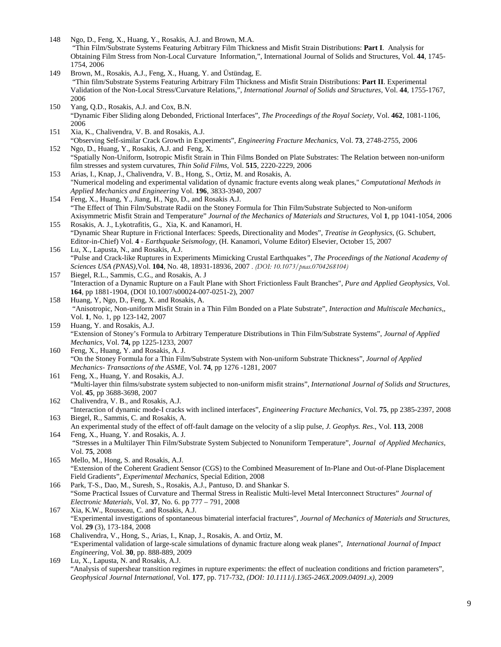- 148 Ngo, D., Feng, X., Huang, Y., Rosakis, A.J. and Brown, M.A. "Thin Film/Substrate Systems Featuring Arbitrary Film Thickness and Misfit Strain Distributions: **Part I**. Analysis for Obtaining Film Stress from Non-Local Curvature Information,", International Journal of Solids and Structures, Vol. **44**, 1745- 1754, 2006
- 149 Brown, M., Rosakis, A.J., Feng, X., Huang, Y. and Üstündag, E. "Thin film/Substrate Systems Featuring Arbitrary Film Thickness and Misfit Strain Distributions: **Part II**. Experimental Validation of the Non-Local Stress/Curvature Relations,", *International Journal of Solids and Structures,* Vol. **44**, 1755-1767, 2006
- 150 Yang, Q.D., Rosakis, A.J. and Cox, B.N. "Dynamic Fiber Sliding along Debonded, Frictional Interfaces", *The Proceedings of the Royal Society,* Vol. **462**, 1081-1106, 2006
- 151 Xia, K., Chalivendra, V. B. and Rosakis, A.J. "Observing Self-similar Crack Growth in Experiments", *Engineering Fracture Mechanics,* Vol. **73**, 2748-2755, 2006 152 Ngo, D., Huang, Y., Rosakis, A.J. and Feng, X.
- "Spatially Non-Uniform, Isotropic Misfit Strain in Thin Films Bonded on Plate Substrates: The Relation between non-uniform film stresses and system curvatures, *Thin Solid Films,* Vol. **515**, 2220-2229, 2006
- 153 Arias, I., Knap, J., Chalivendra, V. B., Hong, S., Ortiz, M. and Rosakis, A. "Numerical modeling and experimental validation of dynamic fracture events along weak planes," *Computational Methods in Applied Mechanics and Engineering* Vol. **196**, 3833-3940, 2007
- 154 Feng, X., Huang, Y., Jiang, H., Ngo, D., and Rosakis A.J. "The Effect of Thin Film/Substrate Radii on the Stoney Formula for Thin Film/Substrate Subjected to Non-uniform Axisymmetric Misfit Strain and Temperature" *Journal of the Mechanics of Materials and Structures*, Vol **1**, pp 1041-1054, 2006
- 155 Rosakis, A. J., Lykotrafitis, G., Xia, K. and Kanamori, H. "Dynamic Shear Rupture in Frictional Interfaces: Speeds, Directionality and Modes", *Treatise in Geophysics,* (G. Schubert, Editor-in-Chief) Vol*.* **4** - *Earthquake Seismology,* (H. Kanamori, Volume Editor) Elsevier, October 15, 2007
- 156 Lu, X., Lapusta, N., and Rosakis, A.J. "Pulse and Crack-like Ruptures in Experiments Mimicking Crustal Earthquakes*", The Proceedings of the National Academy of Sciences USA (PNAS),*Vol. **104**, No. 48, 18931-18936, 2007 *. (DOI: 10.1073/pnas.0704268104)*
- 157 Biegel, R.L., Sammis, C.G., and Rosakis, A. J "Interaction of a Dynamic Rupture on a Fault Plane with Short Frictionless Fault Branches", *Pure and Applied Geophysics*, Vol. **164**, pp 1881-1904, (DOI 10.1007/s00024-007-0251-2), 2007
- 158 Huang, Y, Ngo, D., Feng, X. and Rosakis, A. "Anisotropic, Non-uniform Misfit Strain in a Thin Film Bonded on a Plate Substrate", *Interaction and Multiscale Mechanics,*, Vol. **1**, No. 1, pp 123-142, 2007
- 159 Huang, Y. and Rosakis, A.J. "Extension of Stoney's Formula to Arbitrary Temperature Distributions in Thin Film/Substrate Systems", *Journal of Applied Mechanics*, Vol. **74,** pp 1225-1233, 2007
- 160 Feng, X., Huang, Y. and Rosakis, A. J. "On the Stoney Formula for a Thin Film/Substrate System with Non-uniform Substrate Thickness", *Journal of Applied Mechanics- Transactions of the ASME,* Vol. **74**, pp 1276 -1281, 2007
- 161 Feng, X., Huang, Y. and Rosakis, A.J. "Multi-layer thin films/substrate system subjected to non-uniform misfit strains", *International Journal of Solids and Structures*, Vol. **45**, pp 3688-3698, 2007
- 162 Chalivendra, V. B., and Rosakis, A.J. "Interaction of dynamic mode-I cracks with inclined interfaces", *Engineering Fracture Mechanics,* Vol. **75**, pp 2385-2397, 2008
- 163 Biegel, R., Sammis, C. and Rosakis, A. An experimental study of the effect of off-fault damage on the velocity of a slip pulse, *J. Geophys. Res*., Vol. **113**, 2008 164 Feng, X., Huang, Y. and Rosakis, A. J.
- "Stresses in a Multilayer Thin Film/Substrate System Subjected to Nonuniform Temperature", *Journal of Applied Mechanics*, Vol. **75**, 2008
- 165 Mello, M., Hong, S. and Rosakis, A.J. "Extension of the Coherent Gradient Sensor (CGS) to the Combined Measurement of In-Plane and Out-of-Plane Displacement Field Gradients", *Experimental Mechanics*, Special Edition, 2008
- 166 Park, T-S., Dao, M., Suresh, S., Rosakis, A.J., Pantuso, D. and Shankar S. "Some Practical Issues of Curvature and Thermal Stress in Realistic Multi-level Metal Interconnect Structures" *Journal of Electronic Materials,* Vol. **37**, No. 6. pp 777 – 791, 2008
- 167 Xia, K.W., Rousseau, C. and Rosakis, A.J. "Experimental investigations of spontaneous bimaterial interfacial fractures", *Journal of Mechanics of Materials and Structures*, Vol. **29** (3), 173-184, 2008
- 168 Chalivendra, V., Hong, S., Arias, I., Knap, J., Rosakis, A. and Ortiz, M. "Experimental validation of large-scale simulations of dynamic fracture along weak planes", *International Journal of Impact Engineering,* Vol. **30**, pp. 888-889, 2009
- 169 Lu, X., Lapusta, N. and Rosakis, A.J. "Analysis of supershear transition regimes in rupture experiments: the effect of nucleation conditions and friction parameters", *Geophysical Journal International,* Vol. **177**, pp. 717-732, *(DOI: 10.1111/j.1365-246X.2009.04091.x),* 2009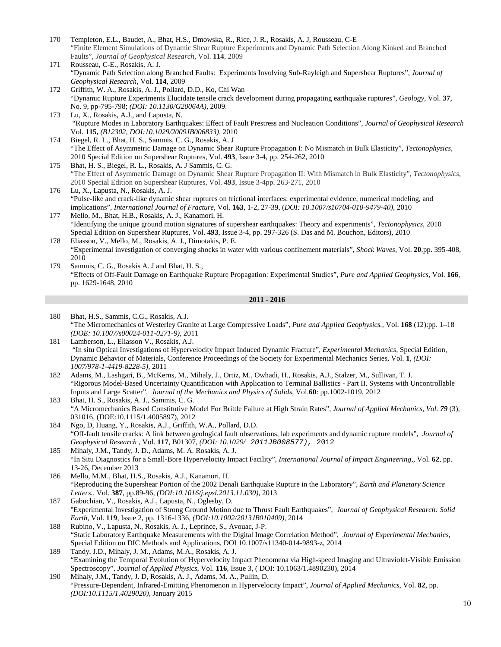- 170 Templeton, E.L., Baudet, A., Bhat, H.S., Dmowska, R., Rice, J. R., Rosakis, A. J, Rousseau, C-E "Finite Element Simulations of Dynamic Shear Rupture Experiments and Dynamic Path Selection Along Kinked and Branched Faults", *Journal of Geophysical Research,* Vol. **114**, 2009
- 171 Rousseau, C-E., Rosakis, A. J. "Dynamic Path Selection along Branched Faults: Experiments Involving Sub-Rayleigh and Supershear Ruptures", *Journal of Geophysical Research,* Vol. **114**, 2009
- 172 Griffith, W. A., Rosakis, A. J., Pollard, D.D., Ko, Chi Wan "Dynamic Rupture Experiments Elucidate tensile crack development during propagating earthquake ruptures", *Geology,* Vol. **37**, No. 9, pp-795-798; *(DOI: 10.1130/G20064A),* 2009.
- 173 Lu, X., Rosakis, A.J., and Lapusta, N. "Rupture Modes in Laboratory Earthquakes: Effect of Fault Prestress and Nucleation Conditions", *Journal of Geophysical Research*  Vol*.* **115,** *(B12302, DOI:10.1029/2009JB006833),* 2010
- 174 Biegel, R. L., Bhat, H. S., Sammis, C. G., Rosakis, A. J "The Effect of Asymmetric Damage on Dynamic Shear Rupture Propagation I: No Mismatch in Bulk Elasticity", *Tectonophysics*, 2010 Special Edition on Supershear Ruptures, Vol. **493**, Issue 3-4, pp. 254-262, 2010
- 175 Bhat, H. S., Biegel, R. L., Rosakis, A. J Sammis, C. G. "The Effect of Asymmetric Damage on Dynamic Shear Rupture Propagation II: With Mismatch in Bulk Elasticity", *Tectonophysics*, 2010 Special Edition on Supershear Ruptures, Vol. **493**, Issue 3-4pp. 263-271, 2010
- 176 Lu, X., Lapusta, N., Rosakis, A. J. "Pulse-like and crack-like dynamic shear ruptures on frictional interfaces: experimental evidence, numerical modeling, and implications", *International Journal of Fracture,* Vol. **163**, 1-2, 27-39, (*DOI: 10.1007/s10704-010-9479-40),* 2010
- 177 Mello, M., Bhat, H.B., Rosakis, A. J., Kanamori, H. "Identifying the unique ground motion signatures of supershear earthquakes: Theory and experiments", *Tectonophysics*, 2010 Special Edition on Supershear Ruptures, Vol. **493**, Issue 3-4, pp. 297-326 (S. Das and M. Bouchon, Editors), 2010
- 178 Eliasson, V., Mello, M., Rosakis, A. J., Dimotakis, P. E. "Experimental investigation of converging shocks in water with various confinement materials", *Shock Waves,* Vol. **20***,*pp. 395-408, 2010
- 179 Sammis, C. G., Rosakis A. J and Bhat, H. S., "Effects of Off-Fault Damage on Earthquake Rupture Propagation: Experimental Studies", *Pure and Applied Geophysics*, Vol. **166**, pp. 1629-1648, 2010

- 180 Bhat, H.S., Sammis, C.G., Rosakis, A.J. "The Micromechanics of Westerley Granite at Large Compressive Loads", *Pure and Applied Geophysics.*, Vol. **168** (12):pp. 1–18 *(DOE: 10.1007/s00024-011-0271-9)*, 2011
- 181 Lamberson, L., Eliasson V., Rosakis, A.J. "In situ Optical Investigations of Hypervelocity Impact Induced Dynamic Fracture", *Experimental Mechanics*, Special Edition, Dynamic Behavior of Materials, Conference Proceedings of the Society for Experimental Mechanics Series, Vol. **1**, *(DOI: 1007/978-1-4419-8228-5),* 2011
- 182 Adams, M., Lashgari, B., McKerns, M., Mihaly, J., Ortiz, M., Owhadi, H., Rosakis, A.J., Stalzer, M., Sullivan, T. J. "Rigorous Model-Based Uncertainty Quantification with Application to Terminal Ballistics - Part II. Systems with Uncontrollable Inputs and Large Scatter", *Journal of the Mechanics and Physics of Solids*, Vol.**60**: pp.1002-1019, 2012
- 183 Bhat, H. S., Rosakis, A. J., Sammis, C. G. ["A Micromechanics Based Constitutive Model For Brittle Failure at High Strain Rates"](http://earth.usc.edu/%7Ehbhat/documents/CollectedPapers/article/BhatRosakisSammis2012a.pdf), *Journal of Applied Mechanics, Vol. 79* (3), 031016, (DOE:10.1115/1.4005897), 2012
- 184 Ngo, D, Huang, Y., Rosakis, A.J., Griffith, W.A., Pollard, D.D. "Off-fault tensile cracks: A link between geological fault observations, lab experiments and dynamic rupture models", *Journal of Geophysical Research ,* Vol. **117**, B01307, *(DOI: 10.1029/ 2011JB008577),* 2012
- 185 Mihaly, J.M., Tandy, J. D., Adams, M. A. Rosakis, A. J. "In Situ Diagnostics for a Small-Bore Hypervelocity Impact Facility", *International Journal of Impact Engineering,*, Vol. **62**, pp. 13-26, December 2013
- 186 Mello, M.M., Bhat, H.S., Rosakis, A.J., Kanamori, H. "Reproducing the Supershear Portion of the 2002 Denali Earthquake Rupture in the Laboratory", *Earth and Planetary Science Letters.,* Vol. **387***,* pp.89-96, *(DOI:10.1016/j.epsl.2013.11.030)*, 2013
- 187 Gabuchian, V., Rosakis, A.J., Lapusta, N., Oglesby, D. "Experimental Investigation of Strong Ground Motion due to Thrust Fault Earthquakes", *Journal of Geophysical Research: Solid Earth,* Vol. **119**, Issue 2, pp. 1316-1336, *(DOI:10.1002/2013JB010409),* 2014
- 188 Rubino, V., Lapusta, N., Rosakis, A. J., Leprince, S., Avouac, J-P. "Static Laboratory Earthquake Measurements with the Digital Image Correlation Method", *Journal of Experimental Mechanics,*  Special Edition on DIC Methods and Applications*,* DOI 10.1007/s11340-014-9893-z, 2014
- 189 Tandy, J.D., Mihaly, J. M., Adams, M.A., Rosakis, A. J. "Examining the Temporal Evolution of Hypervelocity Impact Phenomena via High-speed Imaging and Ultraviolet-Visible Emission Spectroscopy", *Journal of Applied Physics*, Vol. **116**, Issue 3, ( DOI: 10.1063/1.4890230), 2014
- 190 Mihaly, J.M., Tandy, J. D, Rosakis, A. J., Adams, M. A., Pullin, D. "Pressure-Dependent, Infrared-Emitting Phenomenon in Hypervelocity Impact", *Journal of Applied Mechanics*, Vol. **82**, pp. *(DOI:10.1115/1.4029020)*, January 2015